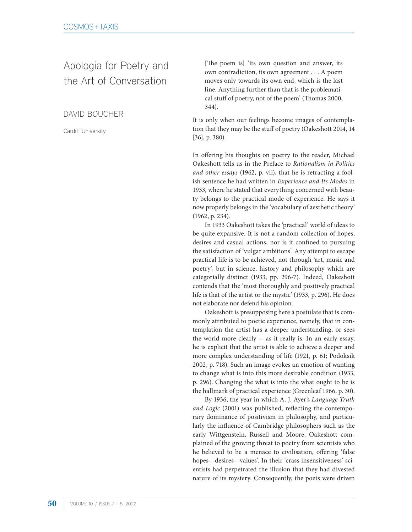# Apologia for Poetry and the Art of Conversation

DAVID BOUCHER

Cardiff University

[The poem is] 'its own question and answer, its own contradiction, its own agreement . . . A poem moves only towards its own end, which is the last line. Anything further than that is the problematical stuff of poetry, not of the poem' (Thomas 2000, 344).

It is only when our feelings become images of contemplation that they may be the stuff of poetry (Oakeshott 2014, 14 [36], p. 380).

In offering his thoughts on poetry to the reader, Michael Oakeshott tells us in the Preface to *Rationalism in Politics and other essays* (1962, p. vii), that he is retracting a foolish sentence he had written in *Experience and Its Modes* in 1933, where he stated that everything concerned with beauty belongs to the practical mode of experience. He says it now properly belongs in the 'vocabulary of aesthetic theory' (1962, p. 234).

In 1933 Oakeshott takes the 'practical' world of ideas to be quite expansive. It is not a random collection of hopes, desires and casual actions, nor is it confined to pursuing the satisfaction of 'vulgar ambitions'. Any attempt to escape practical life is to be achieved, not through 'art, music and poetry', but in science, history and philosophy which are categorially distinct (1933, pp. 296-7). Indeed, Oakeshott contends that the 'most thoroughly and positively practical life is that of the artist or the mystic' (1933, p. 296). He does not elaborate nor defend his opinion.

Oakeshott is presupposing here a postulate that is commonly attributed to poetic experience, namely, that in contemplation the artist has a deeper understanding, or sees the world more clearly -- as it really is. In an early essay, he is explicit that the artist is able to achieve a deeper and more complex understanding of life (1921, p. 61; Podoksik 2002, p. 718). Such an image evokes an emotion of wanting to change what is into this more desirable condition (1933, p. 296). Changing the what is into the what ought to be is the hallmark of practical experience (Greenleaf 1966, p. 30).

By 1936, the year in which A. J. Ayer's *Language Truth and Logic* (2001) was published, reflecting the contemporary dominance of positivism in philosophy, and particularly the influence of Cambridge philosophers such as the early Wittgenstein, Russell and Moore, Oakeshott complained of the growing threat to poetry from scientists who he believed to be a menace to civilisation, offering 'false hopes—desires—values'. In their 'crass insensitiveness' scientists had perpetrated the illusion that they had divested nature of its mystery. Consequently, the poets were driven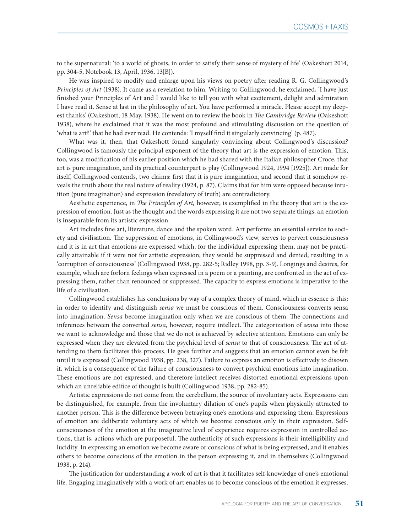to the supernatural: 'to a world of ghosts, in order to satisfy their sense of mystery of life' (Oakeshott 2014, pp. 304-5, Notebook 13, April, 1936, 13[B]).

He was inspired to modify and enlarge upon his views on poetry after reading R. G. Collingwood's *Principles of Art* (1938). It came as a revelation to him. Writing to Collingwood, he exclaimed, 'I have just finished your Principles of Art and I would like to tell you with what excitement, delight and admiration I have read it. Sense at last in the philosophy of art. You have performed a miracle. Please accept my deepest thanks' (Oakeshott, 18 May, 1938). He went on to review the book in *The Cambridge Review* (Oakeshott 1938), where he exclaimed that it was the most profound and stimulating discussion on the question of 'what is art?' that he had ever read. He contends: 'I myself find it singularly convincing' (p. 487).

What was it, then, that Oakeshott found singularly convincing about Collingwood's discussion? Collingwood is famously the principal exponent of the theory that art is the expression of emotion. This, too, was a modification of his earlier position which he had shared with the Italian philosopher Croce, that art is pure imagination, and its practical counterpart is play (Collingwood 1924, 1994 [1925]). Art made for itself, Collingwood contends, two claims: first that it is pure imagination, and second that it somehow reveals the truth about the real nature of reality (1924, p. 87). Claims that for him were opposed because intuition (pure imagination) and expression (revelatory of truth) are contradictory.

Aesthetic experience, in *The Principles of Art,* however, is exemplified in the theory that art is the expression of emotion. Just as the thought and the words expressing it are not two separate things, an emotion is inseparable from its artistic expression.

Art includes fine art, literature, dance and the spoken word. Art performs an essential service to society and civilisation. The suppression of emotions, in Collingwood's view, serves to pervert consciousness and it is in art that emotions are expressed which, for the individual expressing them, may not be practically attainable if it were not for artistic expression; they would be suppressed and denied, resulting in a 'corruption of consciousness' (Collingwood 1938, pp. 282-5; Ridley 1998, pp. 3-9). Longings and desires, for example, which are forlorn feelings when expressed in a poem or a painting, are confronted in the act of expressing them, rather than renounced or suppressed. The capacity to express emotions is imperative to the life of a civilisation.

Collingwood establishes his conclusions by way of a complex theory of mind, which in essence is this: in order to identify and distinguish *sensa* we must be conscious of them. Consciousness converts sensa into imagination. *Sensa* become imagination only when we are conscious of them. The connections and inferences between the converted *sensa*, however, require intellect. The categorization of *sensa* into those we want to acknowledge and those that we do not is achieved by selective attention. Emotions can only be expressed when they are elevated from the psychical level of *sensa* to that of consciousness. The act of attending to them facilitates this process. He goes further and suggests that an emotion cannot even be felt until it is expressed (Collingwood 1938, pp. 238, 327). Failure to express an emotion is effectively to disown it, which is a consequence of the failure of consciousness to convert psychical emotions into imagination. These emotions are not expressed, and therefore intellect receives distorted emotional expressions upon which an unreliable edifice of thought is built (Collingwood 1938, pp. 282-85).

Artistic expressions do not come from the cerebellum, the source of involuntary acts. Expressions can be distinguished, for example, from the involuntary dilation of one's pupils when physically attracted to another person. This is the difference between betraying one's emotions and expressing them. Expressions of emotion are deliberate voluntary acts of which we become conscious only in their expression. Selfconsciousness of the emotion at the imaginative level of experience requires expression in controlled actions, that is, actions which are purposeful. The authenticity of such expressions is their intelligibility and lucidity. In expressing an emotion we become aware or conscious of what is being expressed, and it enables others to become conscious of the emotion in the person expressing it, and in themselves (Collingwood 1938, p. 214).

The justification for understanding a work of art is that it facilitates self-knowledge of one's emotional life. Engaging imaginatively with a work of art enables us to become conscious of the emotion it expresses.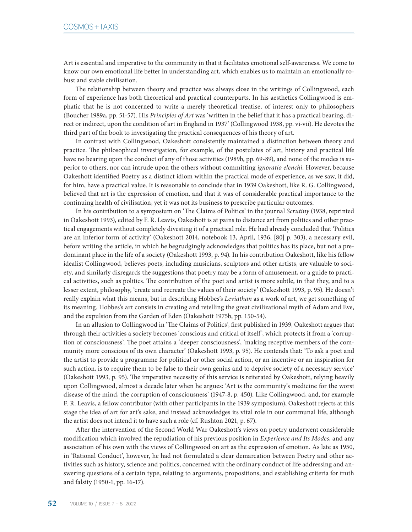Art is essential and imperative to the community in that it facilitates emotional self-awareness. We come to know our own emotional life better in understanding art, which enables us to maintain an emotionally robust and stable civilisation.

The relationship between theory and practice was always close in the writings of Collingwood, each form of experience has both theoretical and practical counterparts. In his aesthetics Collingwood is emphatic that he is not concerned to write a merely theoretical treatise, of interest only to philosophers (Boucher 1989a, pp. 51-57). His *Principles of Art* was 'written in the belief that it has a practical bearing, direct or indirect, upon the condition of art in England in 1937' (Collingwood 1938, pp. vi-vii). He devotes the third part of the book to investigating the practical consequences of his theory of art.

In contrast with Collingwood, Oakeshott consistently maintained a distinction between theory and practice. The philosophical investigation, for example, of the postulates of art, history and practical life have no bearing upon the conduct of any of those activities (1989b, pp. 69-89), and none of the modes is superior to others, nor can intrude upon the others without committing *ignoratio elenchi*. However, because Oakeshott identified Poetry as a distinct idiom within the practical mode of experience, as we saw, it did, for him, have a practical value. It is reasonable to conclude that in 1939 Oakeshott, like R. G. Collingwood, believed that art is the expression of emotion, and that it was of considerable practical importance to the continuing health of civilisation, yet it was not its business to prescribe particular outcomes.

In his contribution to a symposium on 'The Claims of Politics' in the journal *Scrutiny* (1938, reprinted in Oakeshott 1993), edited by F. R. Leavis, Oakeshott is at pains to distance art from politics and other practical engagements without completely divesting it of a practical role. He had already concluded that 'Politics are an inferior form of activity' (Oakeshott 2014, notebook 13, April, 1936, [80] p. 303), a necessary evil, before writing the article, in which he begrudgingly acknowledges that politics has its place, but not a predominant place in the life of a society (Oakeshott 1993, p. 94). In his contribution Oakeshott, like his fellow idealist Collingwood, believes poets, including musicians, sculptors and other artists, are valuable to society, and similarly disregards the suggestions that poetry may be a form of amusement, or a guide to practical activities, such as politics. The contribution of the poet and artist is more subtle, in that they, and to a lesser extent, philosophy, 'create and recreate the values of their society' (Oakeshott 1993, p. 95). He doesn't really explain what this means, but in describing Hobbes's *Leviathan* as a work of art, we get something of its meaning. Hobbes's art consists in creating and retelling the great civilizational myth of Adam and Eve, and the expulsion from the Garden of Eden (Oakeshott 1975b, pp. 150-54).

In an allusion to Collingwood in 'The Claims of Politics', first published in 1939, Oakeshott argues that through their activities a society becomes 'conscious and critical of itself', which protects it from a 'corruption of consciousness'. The poet attains a 'deeper consciousness', 'making receptive members of the community more conscious of its own character' (Oakeshott 1993, p. 95). He contends that: 'To ask a poet and the artist to provide a programme for political or other social action, or an incentive or an inspiration for such action, is to require them to be false to their own genius and to deprive society of a necessary service' (Oakeshott 1993, p. 95). The imperative necessity of this service is reiterated by Oakeshott, relying heavily upon Collingwood, almost a decade later when he argues: 'Art is the community's medicine for the worst disease of the mind, the corruption of consciousness' (1947-8, p. 450). Like Collingwood, and, for example F. R. Leavis, a fellow contributor (with other participants in the 1939 symposium), Oakeshott rejects at this stage the idea of art for art's sake, and instead acknowledges its vital role in our communal life, although the artist does not intend it to have such a role (cf. Rushton 2021, p. 67).

After the intervention of the Second World War Oakeshott's views on poetry underwent considerable modification which involved the repudiation of his previous position in *Experience and Its Modes,* and any association of his own with the views of Collingwood on art as the expression of emotion. As late as 1950, in 'Rational Conduct', however, he had not formulated a clear demarcation between Poetry and other activities such as history, science and politics, concerned with the ordinary conduct of life addressing and answering questions of a certain type, relating to arguments, propositions, and establishing criteria for truth and falsity (1950-1, pp. 16-17).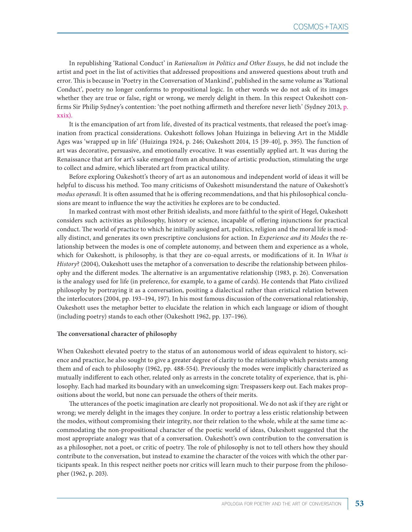In republishing 'Rational Conduct' in *Rationalism in Politics and Other Essays,* he did not include the artist and poet in the list of activities that addressed propositions and answered questions about truth and error. This is because in 'Poetry in the Conversation of Mankind', published in the same volume as 'Rational Conduct', poetry no longer conforms to propositional logic. In other words we do not ask of its images whether they are true or false, right or wrong, we merely delight in them. In this respect Oakeshott confirms Sir Philip Sydney's contention: 'the poet nothing affirmeth and therefore never lieth' (Sydney 2013, p. xxix).

It is the emancipation of art from life, divested of its practical vestments, that released the poet's imagination from practical considerations. Oakeshott follows Johan Huizinga in believing Art in the Middle Ages was 'wrapped up in life' (Huizinga 1924, p. 246; Oakeshott 2014, 15 [39-40], p. 395). The function of art was decorative, persuasive, and emotionally evocative. It was essentially applied art. It was during the Renaissance that art for art's sake emerged from an abundance of artistic production, stimulating the urge to collect and admire, which liberated art from practical utility.

Before exploring Oakeshott's theory of art as an autonomous and independent world of ideas it will be helpful to discuss his method. Too many criticisms of Oakeshott misunderstand the nature of Oakeshott's *modus operandi*. It is often assumed that he is offering recommendations, and that his philosophical conclusions are meant to influence the way the activities he explores are to be conducted.

In marked contrast with most other British idealists, and more faithful to the spirit of Hegel, Oakeshott considers such activities as philosophy, history or science, incapable of offering injunctions for practical conduct. The world of practice to which he initially assigned art, politics, religion and the moral life is modally distinct, and generates its own prescriptive conclusions for action. In *Experience and its Modes* the relationship between the modes is one of complete autonomy, and between them and experience as a whole, which for Oakeshott, is philosophy, is that they are co-equal arrests, or modifications of it. In *What is History*? (2004), Oakeshott uses the metaphor of a conversation to describe the relationship between philosophy and the different modes. The alternative is an argumentative relationship (1983, p. 26). Conversation is the analogy used for life (in preference, for example, to a game of cards). He contends that Plato civilized philosophy by portraying it as a conversation, positing a dialectical rather than eristical relation between the interlocutors (2004, pp. 193–194, 197). In his most famous discussion of the conversational relationship, Oakeshott uses the metaphor better to elucidate the relation in which each language or idiom of thought (including poetry) stands to each other (Oakeshott 1962, pp. 137–196).

#### **The conversational character of philosophy**

When Oakeshott elevated poetry to the status of an autonomous world of ideas equivalent to history, science and practice, he also sought to give a greater degree of clarity to the relationship which persists among them and of each to philosophy (1962, pp. 488-554). Previously the modes were implicitly characterized as mutually indifferent to each other, related only as arrests in the concrete totality of experience, that is, philosophy. Each had marked its boundary with an unwelcoming sign: Trespassers keep out. Each makes propositions about the world, but none can persuade the others of their merits.

The utterances of the poetic imagination are clearly not propositional. We do not ask if they are right or wrong; we merely delight in the images they conjure. In order to portray a less eristic relationship between the modes, without compromising their integrity, nor their relation to the whole, while at the same time accommodating the non-propositional character of the poetic world of ideas, Oakeshott suggested that the most appropriate analogy was that of a conversation. Oakeshott's own contribution to the conversation is as a philosopher, not a poet, or critic of poetry. The role of philosophy is not to tell others how they should contribute to the conversation, but instead to examine the character of the voices with which the other participants speak. In this respect neither poets nor critics will learn much to their purpose from the philosopher (1962, p. 203).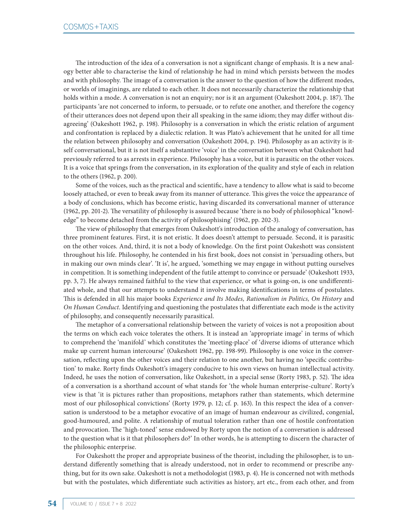The introduction of the idea of a conversation is not a significant change of emphasis. It is a new analogy better able to characterise the kind of relationship he had in mind which persists between the modes and with philosophy. The image of a conversation is the answer to the question of how the different modes, or worlds of imaginings, are related to each other. It does not necessarily characterize the relationship that holds within a mode. A conversation is not an enquiry; nor is it an argument (Oakeshott 2004, p. 187). The participants 'are not concerned to inform, to persuade, or to refute one another, and therefore the cogency of their utterances does not depend upon their all speaking in the same idiom; they may differ without disagreeing' (Oakeshott 1962, p. 198). Philosophy is a conversation in which the eristic relation of argument and confrontation is replaced by a dialectic relation. It was Plato's achievement that he united for all time the relation between philosophy and conversation (Oakeshott 2004, p. 194). Philosophy as an activity is itself conversational, but it is not itself a substantive 'voice' in the conversation between what Oakeshott had previously referred to as arrests in experience. Philosophy has a voice, but it is parasitic on the other voices. It is a voice that springs from the conversation, in its exploration of the quality and style of each in relation to the others (1962, p. 200).

Some of the voices, such as the practical and scientific, have a tendency to allow what is said to become loosely attached, or even to break away from its manner of utterance. This gives the voice the appearance of a body of conclusions, which has become eristic, having discarded its conversational manner of utterance (1962, pp. 201-2). The versatility of philosophy is assured because 'there is no body of philosophical "knowledge" to become detached from the activity of philosophising' (1962, pp. 202-3).

The view of philosophy that emerges from Oakeshott's introduction of the analogy of conversation, has three prominent features. First, it is not eristic. It does doesn't attempt to persuade. Second, it is parasitic on the other voices. And, third, it is not a body of knowledge. On the first point Oakeshott was consistent throughout his life. Philosophy, he contended in his first book, does not consist in 'persuading others, but in making our own minds clear'. 'It is', he argued, 'something we may engage in without putting ourselves in competition. It is something independent of the futile attempt to convince or persuade' (Oakeshott 1933, pp. 3, 7). He always remained faithful to the view that experience, or what is going-on, is one undifferentiated whole, and that our attempts to understand it involve making identifications in terms of postulates. This is defended in all his major books *Experience and Its Modes, Rationalism in Politics, On History* and *On Human Conduct*. Identifying and questioning the postulates that differentiate each mode is the activity of philosophy, and consequently necessarily parasitical.

The metaphor of a conversational relationship between the variety of voices is not a proposition about the terms on which each voice tolerates the others. It is instead an 'appropriate image' in terms of which to comprehend the 'manifold' which constitutes the 'meeting-place' of 'diverse idioms of utterance which make up current human intercourse' (Oakeshott 1962, pp. 198-99). Philosophy is one voice in the conversation, reflecting upon the other voices and their relation to one another, but having no 'specific contribution' to make. Rorty finds Oakeshott's imagery conducive to his own views on human intellectual activity. Indeed, he uses the notion of conversation, like Oakeshott, in a special sense (Rorty 1983, p. 52). The idea of a conversation is a shorthand account of what stands for 'the whole human enterprise-culture'. Rorty's view is that 'it is pictures rather than propositions, metaphors rather than statements, which determine most of our philosophical convictions' (Rorty 1979, p. 12; cf. p. 163). In this respect the idea of a conversation is understood to be a metaphor evocative of an image of human endeavour as civilized, congenial, good-humoured, and polite. A relationship of mutual toleration rather than one of hostile confrontation and provocation. The 'high-toned' sense endowed by Rorty upon the notion of a conversation is addressed to the question what is it that philosophers do?' In other words, he is attempting to discern the character of the philosophic enterprise.

For Oakeshott the proper and appropriate business of the theorist, including the philosopher, is to understand differently something that is already understood, not in order to recommend or prescribe anything, but for its own sake. Oakeshott is not a methodologist (1983, p. 4). He is concerned not with methods but with the postulates, which differentiate such activities as history, art etc., from each other, and from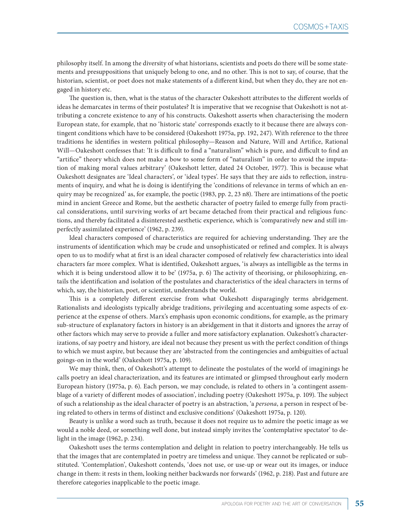philosophy itself. In among the diversity of what historians, scientists and poets do there will be some statements and presuppositions that uniquely belong to one, and no other. This is not to say, of course, that the historian, scientist, or poet does not make statements of a different kind, but when they do, they are not engaged in history etc.

The question is, then, what is the status of the character Oakeshott attributes to the different worlds of ideas he demarcates in terms of their postulates? It is imperative that we recognise that Oakeshott is not attributing a concrete existence to any of his constructs. Oakeshott asserts when characterising the modern European state, for example, that no 'historic state' corresponds exactly to it because there are always contingent conditions which have to be considered (Oakeshott 1975a, pp. 192, 247). With reference to the three traditions he identifies in western political philosophy—Reason and Nature, Will and Artifice, Rational Will—Oakeshott confesses that: 'It is difficult to find a "naturalism" which is pure, and difficult to find an "artifice" theory which does not make a bow to some form of "naturalism" in order to avoid the imputation of making moral values arbitrary' (Oakeshott letter, dated 24 October, 1977). This is because what Oakeshott designates are 'Ideal characters', or 'ideal types'. He says that they are aids to reflection, instruments of inquiry, and what he is doing is identifying the 'conditions of relevance in terms of which an enquiry may be recognized' as, for example, the poetic (1983, pp. 2, 23 n8). There are intimations of the poetic mind in ancient Greece and Rome, but the aesthetic character of poetry failed to emerge fully from practical considerations, until surviving works of art became detached from their practical and religious functions, and thereby facilitated a disinterested aesthetic experience, which is 'comparatively new and still imperfectly assimilated experience' (1962, p. 239).

Ideal characters composed of characteristics are required for achieving understanding. They are the instruments of identification which may be crude and unsophisticated or refined and complex. It is always open to us to modify what at first is an ideal character composed of relatively few characteristics into ideal characters far more complex. What is identified, Oakeshott argues, 'is always as intelligible as the terms in which it is being understood allow it to be' (1975a, p. 6) The activity of theorising, or philosophizing, entails the identification and isolation of the postulates and characteristics of the ideal characters in terms of which, say, the historian, poet, or scientist, understands the world.

This is a completely different exercise from what Oakeshott disparagingly terms abridgement. Rationalists and ideologists typically abridge traditions, privileging and accentuating some aspects of experience at the expense of others. Marx's emphasis upon economic conditions, for example, as the primary sub-structure of explanatory factors in history is an abridgement in that it distorts and ignores the array of other factors which may serve to provide a fuller and more satisfactory explanation. Oakeshott's characterizations, of say poetry and history, are ideal not because they present us with the perfect condition of things to which we must aspire, but because they are 'abstracted from the contingencies and ambiguities of actual goings-on in the world' (Oakeshott 1975a, p. 109).

We may think, then, of Oakeshott's attempt to delineate the postulates of the world of imaginings he calls poetry an ideal characterization, and its features are intimated or glimpsed throughout early modern European history (1975a, p. 6). Each person, we may conclude, is related to others in 'a contingent assemblage of a variety of different modes of association', including poetry (Oakeshott 1975a, p. 109). The subject of such a relationship as the ideal character of poetry is an abstraction, 'a *persona*, a person in respect of being related to others in terms of distinct and exclusive conditions' (Oakeshott 1975a, p. 120).

Beauty is unlike a word such as truth, because it does not require us to admire the poetic image as we would a noble deed, or something well done, but instead simply invites the 'contemplative spectator' to delight in the image (1962, p. 234).

Oakeshott uses the terms contemplation and delight in relation to poetry interchangeably. He tells us that the images that are contemplated in poetry are timeless and unique. They cannot be replicated or substituted. 'Contemplation', Oakeshott contends, 'does not use, or use-up or wear out its images, or induce change in them: it rests in them, looking neither backwards nor forwards' (1962, p. 218). Past and future are therefore categories inapplicable to the poetic image.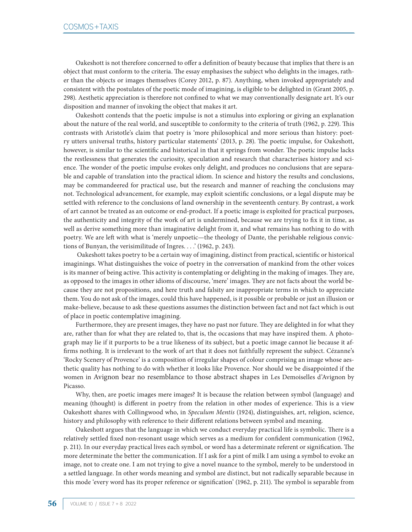Oakeshott is not therefore concerned to offer a definition of beauty because that implies that there is an object that must conform to the criteria. The essay emphasises the subject who delights in the images, rather than the objects or images themselves (Corey 2012, p. 87). Anything, when invoked appropriately and consistent with the postulates of the poetic mode of imagining, is eligible to be delighted in (Grant 2005, p. 298). Aesthetic appreciation is therefore not confined to what we may conventionally designate art. It's our disposition and manner of invoking the object that makes it art.

Oakeshott contends that the poetic impulse is not a stimulus into exploring or giving an explanation about the nature of the real world, and susceptible to conformity to the criteria of truth (1962, p. 229). This contrasts with Aristotle's claim that poetry is 'more philosophical and more serious than history: poetry utters universal truths, history particular statements' (2013, p. 28). The poetic impulse, for Oakeshott, however, is similar to the scientific and historical in that it springs from wonder. The poetic impulse lacks the restlessness that generates the curiosity, speculation and research that characterises history and science. The wonder of the poetic impulse evokes only delight, and produces no conclusions that are separable and capable of translation into the practical idiom. In science and history the results and conclusions, may be commandeered for practical use, but the research and manner of reaching the conclusions may not. Technological advancement, for example, may exploit scientific conclusions, or a legal dispute may be settled with reference to the conclusions of land ownership in the seventeenth century. By contrast, a work of art cannot be treated as an outcome or end-product. If a poetic image is exploited for practical purposes, the authenticity and integrity of the work of art is undermined, because we are trying to fix it in time, as well as derive something more than imaginative delight from it, and what remains has nothing to do with poetry. We are left with what is 'merely unpoetic—the theology of Dante, the perishable religious convictions of Bunyan, the verisimilitude of Ingres. . . .' (1962, p. 243).

 Oakeshott takes poetry to be a certain way of imagining, distinct from practical, scientific or historical imaginings. What distinguishes the voice of poetry in the conversation of mankind from the other voices is its manner of being active. This activity is contemplating or delighting in the making of images. They are, as opposed to the images in other idioms of discourse, 'mere' images. They are not facts about the world because they are not propositions, and here truth and falsity are inappropriate terms in which to appreciate them. You do not ask of the images, could this have happened, is it possible or probable or just an illusion or make-believe, because to ask these questions assumes the distinction between fact and not fact which is out of place in poetic contemplative imagining.

Furthermore, they are present images, they have no past nor future. They are delighted in for what they are, rather than for what they are related to, that is, the occasions that may have inspired them. A photograph may lie if it purports to be a true likeness of its subject, but a poetic image cannot lie because it affirms nothing. It is irrelevant to the work of art that it does not faithfully represent the subject. Cézanne's 'Rocky Scenery of Provence' is a composition of irregular shapes of colour comprising an image whose aesthetic quality has nothing to do with whether it looks like Provence. Nor should we be disappointed if the women in Avignon bear no resemblance to those abstract shapes in Les Demoiselles d'Avignon by Picasso.

Why, then, are poetic images mere images? It is because the relation between symbol (language) and meaning (thought) is different in poetry from the relation in other modes of experience. This is a view Oakeshott shares with Collingwood who, in *Speculum Mentis* (1924), distinguishes, art, religion, science, history and philosophy with reference to their different relations between symbol and meaning.

Oakeshott argues that the language in which we conduct everyday practical life is symbolic. There is a relatively settled fixed non-resonant usage which serves as a medium for confident communication (1962, p. 211). In our everyday practical lives each symbol, or word has a determinate referent or signification. The more determinate the better the communication. If I ask for a pint of milk I am using a symbol to evoke an image, not to create one. I am not trying to give a novel nuance to the symbol, merely to be understood in a settled language. In other words meaning and symbol are distinct, but not radically separable because in this mode 'every word has its proper reference or signification' (1962, p. 211). The symbol is separable from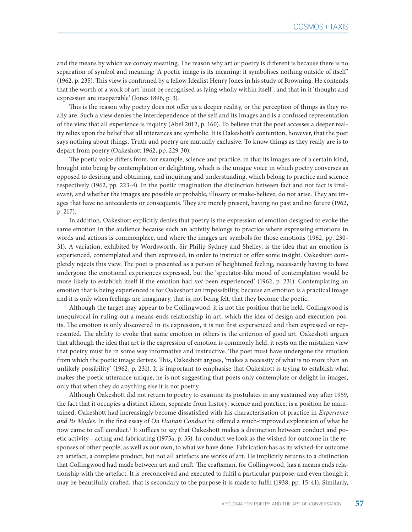and the means by which we convey meaning. The reason why art or poetry is different is because there is no separation of symbol and meaning: 'A poetic image is its meaning: it symbolises nothing outside of itself' (1962, p. 235). This view is confirmed by a fellow Idealist Henry Jones in his study of Browning. He contends that the worth of a work of art 'must be recognised as lying wholly within itself', and that in it 'thought and expression are inseparable' (Jones 1896, p. 3).

This is the reason why poetry does not offer us a deeper reality, or the perception of things as they really are. Such a view denies the interdependence of the self and its images and is a confused representation of the view that all experience is inquiry (Abel 2012, p. 160). To believe that the poet accesses a deeper reality relies upon the belief that all utterances are symbolic. It is Oakeshott's contention, however, that the poet says nothing about things. Truth and poetry are mutually exclusive. To know things as they really are is to depart from poetry (Oakeshott 1962, pp. 229-30).

The poetic voice differs from, for example, science and practice, in that its images are of a certain kind, brought into being by contemplation or delighting, which is the unique voice in which poetry converses as opposed to desiring and obtaining, and inquiring and understanding, which belong to practice and science respectively (1962, pp. 223-4). In the poetic imagination the distinction between fact and not fact is irrelevant, and whether the images are possible or probable, illusory or make-believe, do not arise. They are images that have no antecedents or consequents. They are merely present, having no past and no future (1962, p. 217).

In addition, Oakeshott explicitly denies that poetry is the expression of emotion designed to evoke the same emotion in the audience because such an activity belongs to practice where expressing emotions in words and actions is commonplace, and where the images are symbols for those emotions (1962, pp. 230- 31). A variation, exhibited by Wordsworth, Sir Philip Sydney and Shelley, is the idea that an emotion is experienced, contemplated and then expressed, in order to instruct or offer some insight. Oakeshott completely rejects this view. The poet is presented as a person of heightened feeling, necessarily having to have undergone the emotional experiences expressed, but the 'spectator-like mood of contemplation would be more likely to establish itself if the emotion had *not* been experienced' (1962, p. 231). Contemplating an emotion that is being experienced is for Oakeshott an impossibility, because an emotion is a practical image and it is only when feelings are imaginary, that is, not being felt, that they become the poetic.

Although the target may appear to be Collingwood, it is not the position that he held. Collingwood is unequivocal in ruling out a means-ends relationship in art, which the idea of design and execution posits. The emotion is only discovered in its expression, it is not first experienced and then expressed or represented. The ability to evoke that same emotion in others is the criterion of good art. Oakeshott argues that although the idea that art is the expression of emotion is commonly held, it rests on the mistaken view that poetry must be in some way informative and instructive. The poet must have undergone the emotion from which the poetic image derives. This, Oakeshott argues, 'makes a necessity of what is no more than an unlikely possibility' (1962, p. 231). It is important to emphasise that Oakeshott is trying to establish what makes the poetic utterance unique, he is not suggesting that poets only contemplate or delight in images, only that when they do anything else it is not poetry.

Although Oakeshott did not return to poetry to examine its postulates in any sustained way after 1959, the fact that it occupies a distinct idiom, separate from history, science and practice, is a position he maintained. Oakeshott had increasingly become dissatisfied with his characterisation of practice in *Experience and Its Modes*. In the first essay of *On Human Conduct* he offered a much-improved exploration of what he now came to call conduct.<sup>1</sup> It suffices to say that Oakeshott makes a distinction between conduct and poetic activity—acting and fabricating (1975a, p. 35). In conduct we look as the wished-for outcome in the responses of other people, as well as our own, to what we have done. Fabrication has as its wished-for outcome an artefact, a complete product, but not all artefacts are works of art. He implicitly returns to a distinction that Collingwood had made between art and craft. The craftsman, for Collingwood, has a means ends relationship with the artefact. It is preconceived and executed to fulfil a particular purpose, and even though it may be beautifully crafted, that is secondary to the purpose it is made to fulfil (1938, pp. 15-41). Similarly,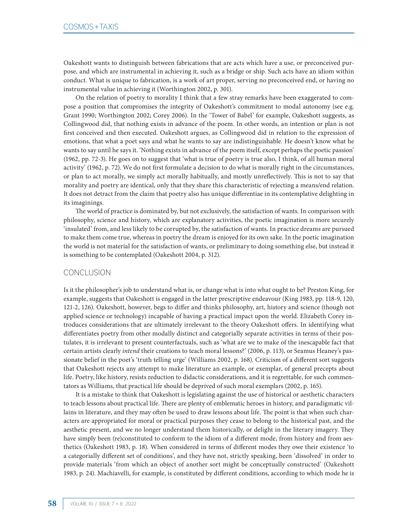Oakeshott wants to distinguish between fabrications that are acts which have a use, or preconceived purpose, and which are instrumental in achieving it, such as a bridge or ship. Such acts have an idiom within conduct. What is unique to fabrication, is a work of art proper, serving no preconceived end, or having no instrumental value in achieving it (Worthington 2002, p. 301).

On the relation of poetry to morality I think that a few stray remarks have been exaggerated to compose a position that compromises the integrity of Oakeshott's commitment to modal autonomy (see e.g. Grant 1990; Worthington 2002; Corey 2006). In the 'Tower of Babel' for example, Oakeshott suggests, as Collingwood did, that nothing exists in advance of the poem. In other words, an intention or plan is not first conceived and then executed. Oakeshott argues, as Collingwood did in relation to the expression of emotions, that what a poet says and what he wants to say are indistinguishable. He doesn't know what he wants to say until he says it. 'Nothing exists in advance of the poem itself, except perhaps the poetic passion' (1962, pp. 72-3). He goes on to suggest that 'what is true of poetry is true also, I think, of all human moral activity' (1962, p. 72). We do not first formulate a decision to do what is morally right in the circumstances, or plan to act morally, we simply act morally habitually, and mostly unreflectively. This is not to say that morality and poetry are identical, only that they share this characteristic of rejecting a means/end relation. It does not detract from the claim that poetry also has unique differentiae in its contemplative delighting in its imaginings.

The world of practice is dominated by, but not exclusively, the satisfaction of wants. In comparison with philosophy, science and history, which are explanatory activities, the poetic imagination is more securely 'insulated' from, and less likely to be corrupted by, the satisfaction of wants. In practice dreams are pursued to make them come true, whereas in poetry the dream is enjoyed for its own sake. In the poetic imagination the world is not material for the satisfaction of wants, or preliminary to doing something else, but instead it is something to be contemplated (Oakeshott 2004, p. 312).

### **CONCLUSION**

Is it the philosopher's job to understand what is, or change what is into what ought to be? Preston King, for example, suggests that Oakeshott is engaged in the latter prescriptive endeavour (King 1983, pp. 118-9, 120, 121-2, 126). Oakeshott, however, begs to differ and thinks philosophy, art, history and science (though not applied science or technology) incapable of having a practical impact upon the world. Elizabeth Corey introduces considerations that are ultimately irrelevant to the theory Oakeshott offers. In identifying what differentiates poetry from other modally distinct and categorially separate activities in terms of their postulates, it is irrelevant to present counterfactuals, such as 'what are we to make of the inescapable fact that certain artists clearly *intend* their creations to teach moral lessons?' (2006, p. 113), or Seamus Heaney's passionate belief in the poet's 'truth telling urge' (Williams 2002, p. 168). Criticism of a different sort suggests that Oakeshott rejects any attempt to make literature an example, or exemplar, of general precepts about life. Poetry, like history, resists reduction to didactic considerations, and it is regrettable, for such commentators as Williams, that practical life should be deprived of such moral exemplars (2002, p. 165).

It is a mistake to think that Oakeshott is legislating against the use of historical or aesthetic characters to teach lessons about practical life. There are plenty of emblematic heroes in history, and paradigmatic villains in literature, and they may often be used to draw lessons about life. The point is that when such characters are appropriated for moral or practical purposes they cease to belong to the historical past, and the aesthetic present, and we no longer understand them historically, or delight in the literary imagery. They have simply been (re)constituted to conform to the idiom of a different mode, from history and from aesthetics (Oakeshott 1983, p. 18). When considered in terms of different modes they owe their existence 'to a categorially different set of conditions', and they have not, strictly speaking, been 'dissolved' in order to provide materials 'from which an object of another sort might be conceptually constructed' (Oakeshott 1983, p. 24). Machiavelli, for example, is constituted by different conditions, according to which mode he is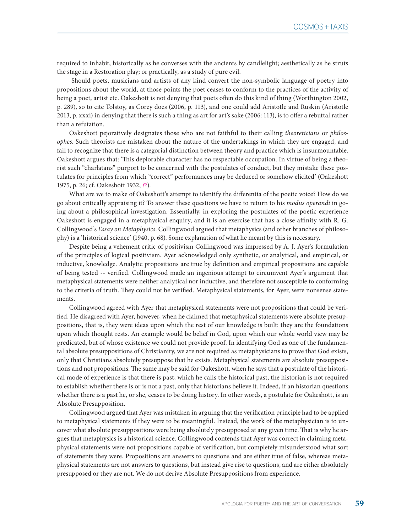required to inhabit, historically as he converses with the ancients by candlelight; aesthetically as he struts the stage in a Restoration play; or practically, as a study of pure evil.

 Should poets, musicians and artists of any kind convert the non-symbolic language of poetry into propositions about the world, at those points the poet ceases to conform to the practices of the activity of being a poet, artist etc. Oakeshott is not denying that poets often do this kind of thing (Worthington 2002, p. 289), so to cite Tolstoy, as Corey does (2006, p. 113), and one could add Aristotle and Ruskin (Aristotle 2013, p. xxxi) in denying that there is such a thing as art for art's sake (2006: 113), is to offer a rebuttal rather than a refutation.

Oakeshott pejoratively designates those who are not faithful to their calling *theoreticians* or *philosophes*. Such theorists are mistaken about the nature of the undertakings in which they are engaged, and fail to recognize that there is a categorial distinction between theory and practice which is insurmountable. Oakeshott argues that: 'This deplorable character has no respectable occupation. In virtue of being a theorist such "charlatans" purport to be concerned with the postulates of conduct, but they mistake these postulates for principles from which "correct" performances may be deduced or somehow elicited' (Oakeshott 1975, p. 26; cf. Oakeshott 1932, ??).

What are we to make of Oakeshott's attempt to identify the differentia of the poetic voice? How do we go about critically appraising it? To answer these questions we have to return to his *modus operandi* in going about a philosophical investigation. Essentially, in exploring the postulates of the poetic experience Oakeshott is engaged in a metaphysical enquiry, and it is an exercise that has a close affinity with R. G. Collingwood's *Essay on Metaphysics*. Collingwood argued that metaphysics (and other branches of philosophy) is a 'historical science' (1940, p. 68). Some explanation of what he meant by this is necessary.

Despite being a vehement critic of positivism Collingwood was impressed by A. J. Ayer's formulation of the principles of logical positivism. Ayer acknowledged only synthetic, or analytical, and empirical, or inductive, knowledge. Analytic propositions are true by definition and empirical propositions are capable of being tested -- verified. Collingwood made an ingenious attempt to circumvent Ayer's argument that metaphysical statements were neither analytical nor inductive, and therefore not susceptible to conforming to the criteria of truth. They could not be verified. Metaphysical statements, for Ayer, were nonsense statements.

Collingwood agreed with Ayer that metaphysical statements were not propositions that could be verified. He disagreed with Ayer, however, when he claimed that metaphysical statements were absolute presuppositions, that is, they were ideas upon which the rest of our knowledge is built: they are the foundations upon which thought rests. An example would be belief in God, upon which our whole world view may be predicated, but of whose existence we could not provide proof. In identifying God as one of the fundamental absolute presuppositions of Christianity, we are not required as metaphysicians to prove that God exists, only that Christians absolutely presuppose that he exists. Metaphysical statements are absolute presuppositions and not propositions. The same may be said for Oakeshott, when he says that a postulate of the historical mode of experience is that there is past, which he calls the historical past, the historian is not required to establish whether there is or is not a past, only that historians believe it. Indeed, if an historian questions whether there is a past he, or she, ceases to be doing history. In other words, a postulate for Oakeshott, is an Absolute Presupposition.

Collingwood argued that Ayer was mistaken in arguing that the verification principle had to be applied to metaphysical statements if they were to be meaningful. Instead, the work of the metaphysician is to uncover what absolute presuppositions were being absolutely presupposed at any given time. That is why he argues that metaphysics is a historical science. Collingwood contends that Ayer was correct in claiming metaphysical statements were not propositions capable of verification, but completely misunderstood what sort of statements they were. Propositions are answers to questions and are either true of false, whereas metaphysical statements are not answers to questions, but instead give rise to questions, and are either absolutely presupposed or they are not. We do not derive Absolute Presuppositions from experience.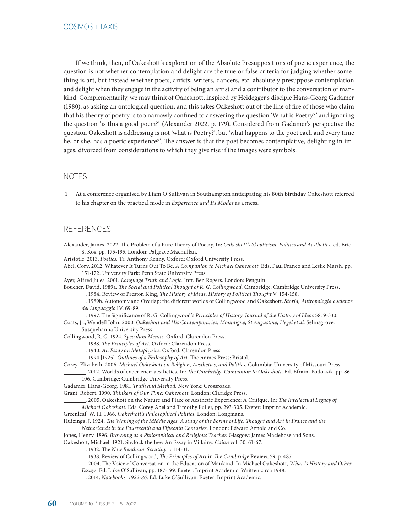If we think, then, of Oakeshott's exploration of the Absolute Presuppositions of poetic experience, the question is not whether contemplation and delight are the true or false criteria for judging whether something is art, but instead whether poets, artists, writers, dancers, etc. absolutely presuppose contemplation and delight when they engage in the activity of being an artist and a contributor to the conversation of mankind. Complementarily, we may think of Oakeshott, inspired by Heidegger's disciple Hans-Georg Gadamer (1980), as asking an ontological question, and this takes Oakeshott out of the line of fire of those who claim that his theory of poetry is too narrowly confined to answering the question 'What is Poetry?' and ignoring the question 'is this a good poem?' (Alexander 2022, p. 179). Considered from Gadamer's perspective the question Oakeshott is addressing is not 'what is Poetry?', but 'what happens to the poet each and every time he, or she, has a poetic experience?'. The answer is that the poet becomes contemplative, delighting in images, divorced from considerations to which they give rise if the images were symbols.

#### NOTES

 1 At a conference organised by Liam O'Sullivan in Southampton anticipating his 80th birthday Oakeshott referred to his chapter on the practical mode in *Experience and Its Modes* as a mess.

## REFERENCES

Alexander, James. 2022. The Problem of a Pure Theory of Poetry. In: *Oakeshott's Skepticism, Politics and Aesthetics,* ed. Eric S. Kos, pp. 175-195. London: Palgrave Macmillan.

Aristotle. 2013. *Poetics.* Tr. Anthony Kenny. Oxford: Oxford University Press.

Abel, Cory. 2012. Whatever It Turns Out To Be. *A Companion to Michael Oakeshott*. Eds. Paul Franco and Leslie Marsh, pp. 151-172. University Park: Penn State University Press.

Ayer, Alfred Jules. 2001. *Language Truth and Logic*. Intr. Ben Rogers. London: Penguin.

Boucher, David. 1989a. *The Social and Political Thought of R. G. Collingwood.* Cambridge: Cambridge University Press. . 1984. Review of Preston King, *The History of Ideas*. *History of Political Thought* V: 154-158.

 . 1989b. Autonomy and Overlap: the different worlds of Collingwood and Oakeshott. *Storia, Antropologia e scienze del Linguaggio* IV, 69-89.

. 1997. The Significance of R. G. Collingwood's *Principles of History*. *Journal of the History of Ideas* 58: 9-330.

Coats, Jr., Wendell John. 2000. *Oakeshott and His Contemporaries, Montaigne, St Augustine, Hegel et al.* Selinsgrove: Susquehanna University Press.

Collingwood, R. G. 1924. *Speculum Mentis.* Oxford: Clarendon Press.

- . 1938. *The Principles of Art.* Oxford: Clarendon Press.
- . 1940. *An Essay on Metaphysics.* Oxford: Clarendon Press.
- . 1994 [1925]. *Outlines of a Philosophy of Art.* Thoemmes Press: Bristol.

Corey, Elizabeth. 2006. *Michael Oakeshott on Religion, Aesthetics, and Politics.* Columbia: University of Missouri Press. . 2012. Worlds of experience: aesthetics. In: *The Cambridge Companion to Oakeshott*. Ed. Efraim Podoksik, pp. 86-

106. Cambridge: Cambridge University Press.

Gadamer, Hans-Georg. 1981. *Truth and Method.* New York: Crossroads.

Grant, Robert. 1990. *Thinkers of Our Time: Oakeshott.* London: Claridge Press.

. 2005. Oakeshott on the Nature and Place of Aesthetic Experience: A Critique. In: *The Intellectual Legacy of* 

*Michael Oakeshott*. Eds. Corey Abel and Timothy Fuller, pp. 293-305. Exeter: Imprint Academic.

Greenleaf, W. H. 1966. *Oakeshott's Philosophical Politics.* London: Longmans.

Huizinga, J. 1924. *The Waning of the Middle Ages. A study of the Forms of Life, Thought and Art in France and the Netherlands in the Fourteenth and Fifteenth Centuries.* London: Edward Arnold and Co.

Jones, Henry. 1896. *Browning as a Philosophical and Religious Teacher.* Glasgow: James Maclehose and Sons.

Oakeshott, Michael. 1921. Shylock the Jew: An Essay in Villainy. *Caian* vol. 30: 61-67.

. 1932. The *New Bentham*. *Scrutiny* 1: 114-31.

. 1938. Review of Collingwood, *The Principles of Art* in *The Cambridge* Review, 59, p. 487.

 . 2004. The Voice of Conversation in the Education of Mankind. In Michael Oakeshott, *What Is History and Other Essays*. Ed. Luke O'Sullivan, pp. 187-199. Exeter: Imprint Academic. Written circa 1948.

. 2014. *Notebooks, 1922-86.* Ed. Luke O'Sullivan. Exeter: Imprint Academic.